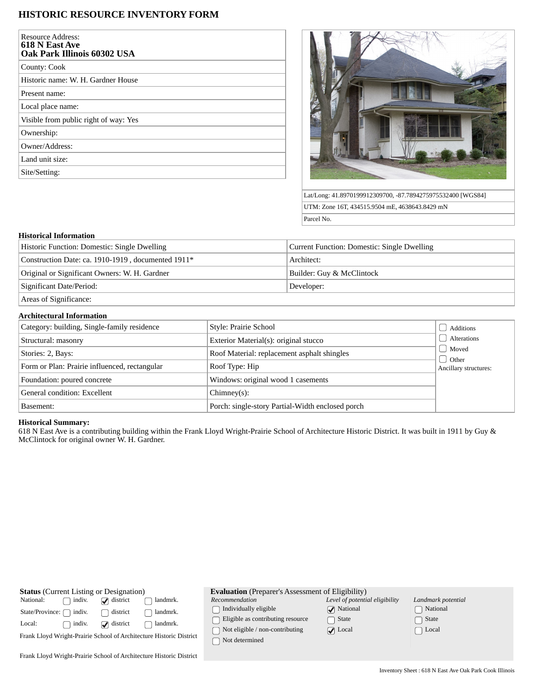# **HISTORIC RESOURCE INVENTORY FORM**

| <b>Resource Address:</b><br>618 N East Ave<br>Oak Park Illinois 60302 USA |
|---------------------------------------------------------------------------|
| County: Cook                                                              |
| Historic name: W. H. Gardner House                                        |
| Present name:                                                             |
| Local place name:                                                         |
| Visible from public right of way: Yes                                     |
| Ownership:                                                                |
| Owner/Address:                                                            |
| Land unit size:                                                           |
| Site/Setting:                                                             |



Lat/Long: 41.8970199912309700, -87.7894275975532400 [WGS84] UTM: Zone 16T, 434515.9504 mE, 4638643.8429 mN Parcel No.

### **Historical Information**

| Historic Function: Domestic: Single Dwelling       | Current Function: Domestic: Single Dwelling |  |  |
|----------------------------------------------------|---------------------------------------------|--|--|
| Construction Date: ca. 1910-1919, documented 1911* | Architect:                                  |  |  |
| Original or Significant Owners: W. H. Gardner      | Builder: Guy & McClintock                   |  |  |
| Significant Date/Period:                           | Developer:                                  |  |  |
| $\sim$ $\sim$ $\sim$ $\sim$                        |                                             |  |  |

Areas of Significance:

## **Architectural Information**

| Category: building, Single-family residence   | Style: Prairie School                            | Additions                        |  |
|-----------------------------------------------|--------------------------------------------------|----------------------------------|--|
| Structural: masonry                           | Exterior Material(s): original stucco            | Alterations                      |  |
| Stories: 2, Bays:                             | Roof Material: replacement asphalt shingles      | Moved                            |  |
| Form or Plan: Prairie influenced, rectangular | Roof Type: Hip                                   | J Other<br>Ancillary structures: |  |
| Foundation: poured concrete                   | Windows: original wood 1 casements               |                                  |  |
| General condition: Excellent                  | $Chimney(s)$ :                                   |                                  |  |
| Basement:                                     | Porch: single-story Partial-Width enclosed porch |                                  |  |

### **Historical Summary:**

618 N East Ave is a contributing building within the Frank Lloyd Wright-Prairie School of Architecture Historic District. It was built in 1911 by Guy & McClintock for original owner W. H. Gardner.

| <b>Status</b> (Current Listing or Designation)                      |                  | <b>Evaluation</b> (Preparer's Assessment of Eligibility) |                                                                                 |                                                                                        |                                                   |                                |
|---------------------------------------------------------------------|------------------|----------------------------------------------------------|---------------------------------------------------------------------------------|----------------------------------------------------------------------------------------|---------------------------------------------------|--------------------------------|
| National:<br>State/Province:                                        | indiv.<br>indiv. | $\Box$ district<br>district                              | landmrk.<br>landmrk.                                                            | Recommendation<br>Individually eligible                                                | Level of potential eligibility<br><b>National</b> | Landmark potential<br>National |
| Local:                                                              | indiv.           | $\Box$ district                                          | landmrk.<br>Frank Lloyd Wright-Prairie School of Architecture Historic District | Eligible as contributing resource<br>Not eligible / non-contributing<br>Not determined | State<br>$\triangledown$ Local                    | State<br>Local                 |
| Frank Lloyd Wright-Prairie School of Architecture Historic District |                  |                                                          |                                                                                 |                                                                                        |                                                   |                                |